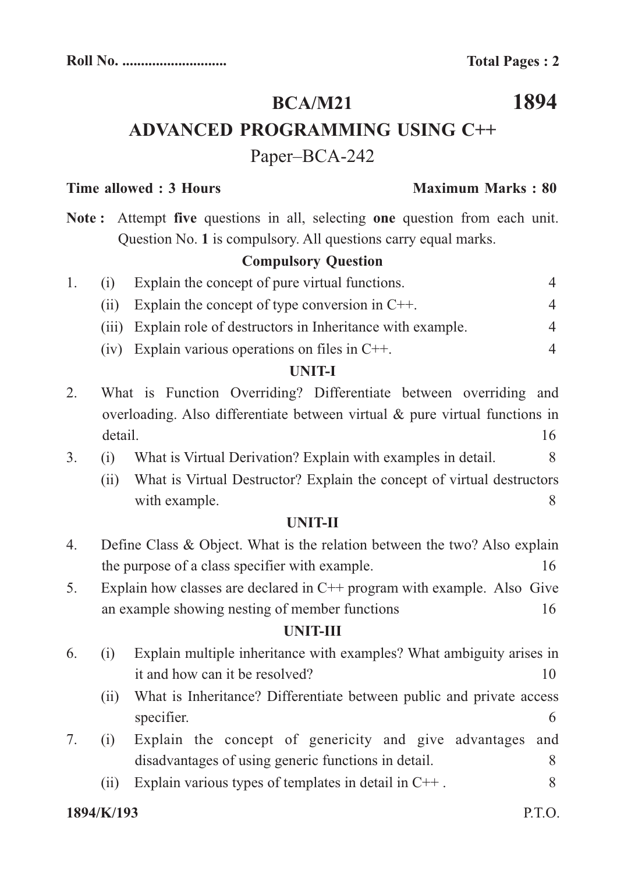# **BCA/M21**

# **ADVANCED PROGRAMMING USING C++**

## Paper–BCA-242

#### **Time allowed : 3 Hours Maximum Marks : 80**

Note: Attempt five questions in all, selecting one question from each unit. Question No. 1 is compulsory. All questions carry equal marks.

### **Compulsory Question**

| (1) | Explain the concept of pure virtual functions.                 |          |
|-----|----------------------------------------------------------------|----------|
|     | (ii) Explain the concept of type conversion in $C++$ .         | $\Delta$ |
|     | (iii) Explain role of destructors in Inheritance with example. | $\Delta$ |
|     | (iv) Explain various operations on files in $C++$ .            | $\Delta$ |

#### **UNIT-I**

- 2. What is Function Overriding? Differentiate between overriding and overloading. Also differentiate between virtual & pure virtual functions in detail. 16
- 3. (i) What is Virtual Derivation? Explain with examples in detail. 8
	- (ii) What is Virtual Destructor? Explain the concept of virtual destructors with example. 8

#### **UNIT-II**

| 4. | Define Class & Object. What is the relation between the two? Also explain |    |
|----|---------------------------------------------------------------------------|----|
|    | the purpose of a class specifier with example.                            | 16 |
| 5. | Explain how classes are declared in $C++$ program with example. Also Give |    |
|    | an example showing nesting of member functions                            | 16 |

#### **UNIT-III**

- 6. (i) Explain multiple inheritance with examples? What ambiguity arises in it and how can it be resolved? 10
	- (ii) What is Inheritance? Differentiate between public and private access specifier. 6
- 7. (i) Explain the concept of genericity and give advantages and disadvantages of using generic functions in detail.
	- (ii) Explain various types of templates in detail in  $C++$ .

#### **1894/K/193** P.T.O.

# **1894**